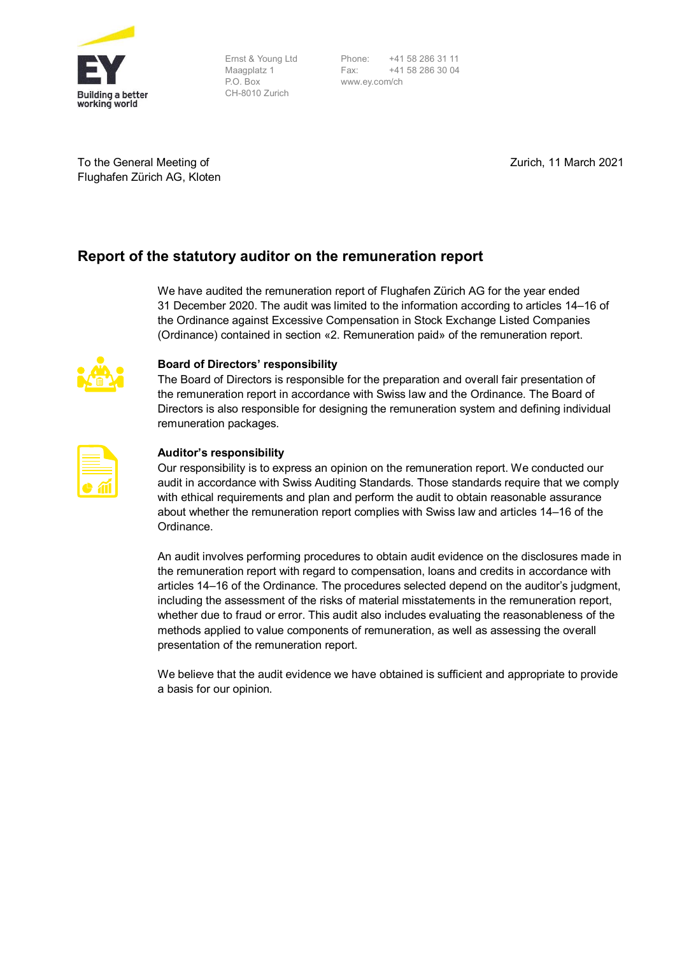

Ernst & Young Ltd Maagplatz 1 P.O. Box CH-8010 Zurich

Phone: +41 58 286 31 11<br>Fax: +41 58 286 30 04 Fax: +41 58 286 30 04 www.ey.com/ch

To the General Meeting of Flughafen Zürich AG, Kloten Zurich, 11 March 2021

## **Report of the statutory auditor on the remuneration report**

We have audited the remuneration report of Flughafen Zürich AG for the year ended 31 December 2020. The audit was limited to the information according to articles 14–16 of the Ordinance against Excessive Compensation in Stock Exchange Listed Companies (Ordinance) contained in section «2. Remuneration paid» of the remuneration report.



## **Board of Directors' responsibility**

The Board of Directors is responsible for the preparation and overall fair presentation of the remuneration report in accordance with Swiss law and the Ordinance. The Board of Directors is also responsible for designing the remuneration system and defining individual remuneration packages.

| <u> The Common Section of the Common Section of the Common Section of the Common Section of the Common Section of</u> |  |
|-----------------------------------------------------------------------------------------------------------------------|--|
|                                                                                                                       |  |

## **Auditor's responsibility**

Our responsibility is to express an opinion on the remuneration report. We conducted our audit in accordance with Swiss Auditing Standards. Those standards require that we comply with ethical requirements and plan and perform the audit to obtain reasonable assurance about whether the remuneration report complies with Swiss law and articles 14–16 of the Ordinance.

An audit involves performing procedures to obtain audit evidence on the disclosures made in the remuneration report with regard to compensation, loans and credits in accordance with articles 14–16 of the Ordinance. The procedures selected depend on the auditor's judgment, including the assessment of the risks of material misstatements in the remuneration report, whether due to fraud or error. This audit also includes evaluating the reasonableness of the methods applied to value components of remuneration, as well as assessing the overall presentation of the remuneration report.

We believe that the audit evidence we have obtained is sufficient and appropriate to provide a basis for our opinion.